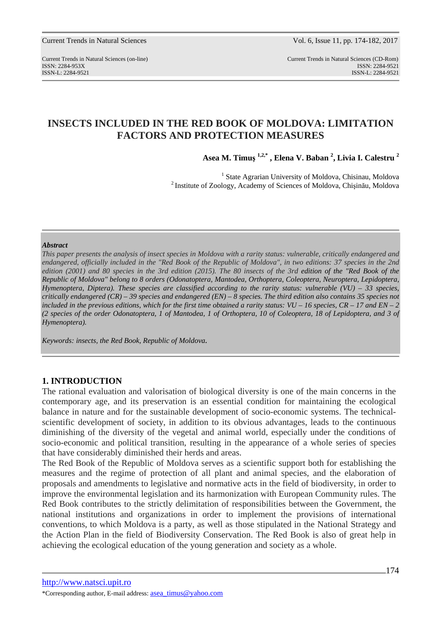Current Trends in Natural Sciences (on-line) Current Trends in Natural Sciences (CD-Rom) ISSN: 2284-953XISSN: 2284-9521 ISSN-L: 2284-9521 ISSN-L: 2284-9521

# **INSECTS INCLUDED IN THE RED BOOK OF MOLDOVA: LIMITATION FACTORS AND PROTECTION MEASURES**

**Asea M. Timuş 1,2,\* , Elena V. Baban <sup>2</sup> , Livia I. Calestru <sup>2</sup>**

<sup>1</sup> State Agrarian University of Moldova, Chisinau, Moldova <sup>2</sup>Institute of Zoology, Academy of Sciences of Moldova, Chişinău, Moldova

#### *Abstract*

*This paper presents the analysis of insect species in Moldova with a rarity status: vulnerable, critically endangered and endangered, officially included in the "Red Book of the Republic of Moldova", in two editions: 37 species in the 2nd edition (2001) and 80 species in the 3rd edition (2015). The 80 insects of the 3rd edition of the "Red Book of the Republic of Moldova" belong to 8 orders (Odonatoptera, Mantodea, Orthoptera, Coleoptera, Neuroptera, Lepidoptera, Hymenoptera, Diptera). These species are classified according to the rarity status: vulnerable (VU) – 33 species, critically endangered (CR) – 39 species and endangered (EN) – 8 species. The third edition also contains 35 species not*  included in the previous editions, which for the first time obtained a rarity status:  $VU - 16$  species,  $CR - 17$  and  $EN - 2$ *(2 species of the order Odonatoptera, 1 of Mantodea, 1 of Orthoptera, 10 of Coleoptera, 18 of Lepidoptera, and 3 of Hymenoptera).* 

*Keywords: insects, the Red Book, Republic of Moldova.* 

## **1. INTRODUCTION**

The rational evaluation and valorisation of biological diversity is one of the main concerns in the contemporary age, and its preservation is an essential condition for maintaining the ecological balance in nature and for the sustainable development of socio-economic systems. The technicalscientific development of society, in addition to its obvious advantages, leads to the continuous diminishing of the diversity of the vegetal and animal world, especially under the conditions of socio-economic and political transition, resulting in the appearance of a whole series of species that have considerably diminished their herds and areas.

The Red Book of the Republic of Moldova serves as a scientific support both for establishing the measures and the regime of protection of all plant and animal species, and the elaboration of proposals and amendments to legislative and normative acts in the field of biodiversity, in order to improve the environmental legislation and its harmonization with European Community rules. The Red Book contributes to the strictly delimitation of responsibilities between the Government, the national institutions and organizations in order to implement the provisions of international conventions, to which Moldova is a party, as well as those stipulated in the National Strategy and the Action Plan in the field of Biodiversity Conservation. The Red Book is also of great help in achieving the ecological education of the young generation and society as a whole.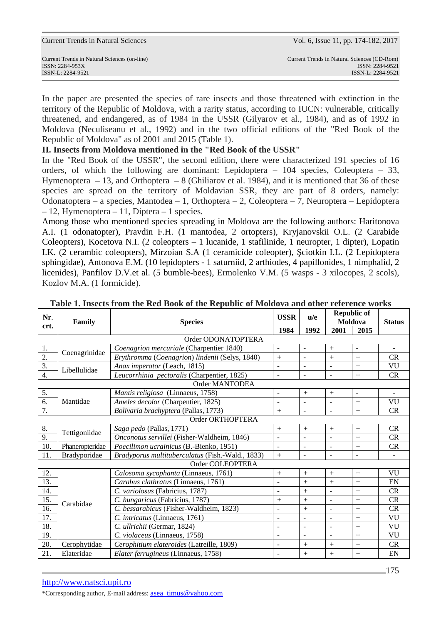| <b>Current Trends in Natural Sciences</b> |  |  |
|-------------------------------------------|--|--|
|-------------------------------------------|--|--|

Vol. 6, Issue 11, pp. 174-182, 2017

ISSN-L: 2284-9521 ISSN-L: 2284-9521

In the paper are presented the species of rare insects and those threatened with extinction in the territory of the Republic of Moldova, with a rarity status, according to IUCN: vulnerable, critically threatened, and endangered, as of 1984 in the USSR (Gilyarov et al., 1984), and as of 1992 in Moldova (Neculiseanu et al., 1992) and in the two official editions of the "Red Book of the Republic of Moldova" as of 2001 and 2015 (Table 1).

### **II. Insects from Moldova mentioned in the "Red Book of the USSR"**

In the "Red Book of the USSR", the second edition, there were characterized 191 species of 16 orders, of which the following are dominant: Lepidoptera – 104 species, Coleoptera – 33, Hymenoptera – 13, and Orthoptera – 8 (Ghiliarov et al. 1984), and it is mentioned that 36 of these species are spread on the territory of Moldavian SSR, they are part of 8 orders, namely: Odonatoptera – a species, Mantodea – 1, Orthoptera – 2, Coleoptera – 7, Neuroptera – Lepidoptera  $-12$ , Hymenoptera – 11, Diptera – 1 species.

Among those who mentioned species spreading in Moldova are the following authors: Haritonova A.I. (1 odonatopter), Pravdin F.H. (1 mantodea, 2 ortopters), Kryjanovskii O.L. (2 Carabide Coleopters), Kocetova N.I. (2 coleopters – 1 lucanide, 1 stafilinide, 1 neuropter, 1 dipter), Lopatin I.K. (2 cerambic coleopters), Mirzoian S.A (1 ceramicide coleopter), Şciotkin I.L. (2 Lepidoptera sphingidae), Antonova E.M. (10 lepidopters - 1 saturniid, 2 arthiodes, 4 papillonides, 1 nimphalid, 2 licenides), Panfilov D.V.et al. (5 bumble-bees), Ermolenko V.M. (5 wasps - 3 xilocopes, 2 scols), Kozlov M.A. (1 formicide).

| Nr.              | Family                                                           | <b>Species</b>                                 | <b>USSR</b>              | u/e                      |                          | <b>Republic of</b><br>Moldova | <b>Status</b>            |
|------------------|------------------------------------------------------------------|------------------------------------------------|--------------------------|--------------------------|--------------------------|-------------------------------|--------------------------|
| crt.             |                                                                  | 1984                                           |                          | 1992                     | 2001                     | 2015                          |                          |
|                  |                                                                  | Order ODONATOPTERA                             |                          |                          |                          |                               |                          |
| 1.               | Coenagrinidae                                                    | Coenagrion mercuriale (Charpentier 1840)       | $\overline{\phantom{a}}$ | $\blacksquare$           | $+$                      | $\omega$                      | ÷.                       |
| 2.               |                                                                  | Erythromma (Coenagrion) lindenii (Selys, 1840) | $+$                      |                          | $^{+}$                   | $+$                           | <b>CR</b>                |
| $\overline{3}$ . | Libellulidae                                                     | Anax imperator (Leach, 1815)                   |                          | $\blacksquare$           | $\ddot{\phantom{1}}$     | $^{+}$                        | VU                       |
| $\overline{4}$ . |                                                                  | Leucorrhinia pectoralis (Charpentier, 1825)    | ÷,                       | $\blacksquare$           | $\blacksquare$           | $+$                           | CR                       |
|                  |                                                                  | Order MANTODEA                                 |                          |                          |                          |                               |                          |
| 5.               |                                                                  | Mantis religiosa (Linnaeus, 1758)              | $\bar{\phantom{a}}$      | $+$                      | $+$                      | $\equiv$                      | $\overline{\phantom{a}}$ |
| 6.               | Mantidae                                                         | Ameles decolor (Charpentier, 1825)             | $\overline{\phantom{a}}$ | $\overline{\phantom{a}}$ | $\overline{\phantom{a}}$ | $+$                           | <b>VU</b>                |
| 7.               |                                                                  | Bolivaria brachyptera (Pallas, 1773)           | $+$                      | $\sim$                   | $\sim$                   | $+$                           | CR                       |
|                  |                                                                  | Order ORTHOPTERA                               |                          |                          |                          |                               |                          |
| 8.               | Tettigoniidae                                                    | Saga pedo (Pallas, 1771)                       | $+$                      | $+$                      | $^{+}$                   | $^{+}$                        | CR                       |
| 9.               |                                                                  | Onconotus servillei (Fisher-Waldheim, 1846)    | ÷,                       |                          | $\overline{\phantom{a}}$ | $^{+}$                        | CR                       |
| 10.              | Phaneropteridae                                                  | Poecilimon ucrainicus (B.-Bienko, 1951)        | $\overline{\phantom{a}}$ | $\blacksquare$           | $\blacksquare$           | $^{+}$                        | <b>CR</b>                |
| 11.              | Bradyporidae<br>Bradyporus multituberculatus (Fish.-Wald., 1833) |                                                | $^{+}$                   | $\blacksquare$           | $\blacksquare$           | $\overline{\phantom{a}}$      |                          |
|                  |                                                                  | Order COLEOPTERA                               |                          |                          |                          |                               |                          |
| 12.              |                                                                  | Calosoma sycophanta (Linnaeus, 1761)           | $\boldsymbol{+}$         | $+$                      | $+$                      | $^{+}$                        | VU                       |
| 13.              |                                                                  | Carabus clathratus (Linnaeus, 1761)            | $\overline{a}$           | $+$                      | $^{+}$                   | $^{+}$                        | EN                       |
| 14.              |                                                                  | C. variolosus (Fabricius, 1787)                | $\overline{a}$           | $+$                      | $\blacksquare$           | $+$                           | CR                       |
| 15.              | Carabidae                                                        | C. hungaricus (Fabricius, 1787)                | $+$                      | $+$                      | $\blacksquare$           | $^{+}$                        | CR                       |
| 16.              |                                                                  | C. bessarabicus (Fisher-Waldheim, 1823)        | ÷,                       | $+$                      | $\overline{\phantom{a}}$ | $^{+}$                        | CR                       |
| 17.              |                                                                  | C. intricatus (Linnaeus, 1761)                 | ÷,                       | $\overline{\phantom{a}}$ | $\blacksquare$           | $+$                           | VU                       |
| 18.              |                                                                  | C. ullrichii (Germar, 1824)                    | $\overline{\phantom{a}}$ | $\blacksquare$           | $\overline{\phantom{a}}$ | $+$                           | VU                       |
| 19.              | C. violaceus (Linnaeus, 1758)                                    |                                                | $\overline{a}$           | $\blacksquare$           | $\blacksquare$           | $+$                           | VU                       |
| 20.              | Cerophytidae                                                     | Cerophitium elateroides (Latreille, 1809)      | ÷,                       | $+$                      | $+$                      | $+$                           | CR                       |
| 21.              | Elateridae                                                       | Elater ferrugineus (Linnaeus, 1758)            | $\blacksquare$           | $+$                      | $^{+}$                   | $^{+}$                        | EN                       |

#### **Table 1. Insects from the Red Book of the Republic of Moldova and other reference works**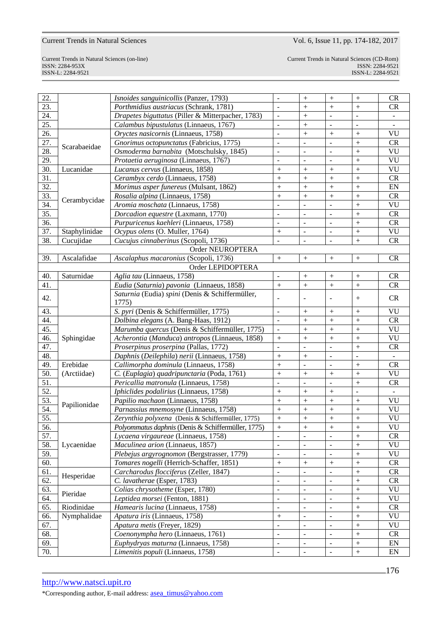ISSN-L: 2284-9521 ISSN-L: 2284-9521

Current Trends in Natural Sciences (on-line) Current Trends in Natural Sciences (CD-Rom) ISSN: 2284-953XISSN: 2284-9521

| 22. |               | Isnoides sanguinicollis (Panzer, 1793)             | $\blacksquare$           |                          | $^{+}$                   | $^{+}$           | <b>CR</b>     |
|-----|---------------|----------------------------------------------------|--------------------------|--------------------------|--------------------------|------------------|---------------|
| 23. |               | Porthmidius austriacus (Schrank, 1781)             |                          | $+$                      | $^{+}$                   | $^{+}$           | <b>CR</b>     |
| 24. |               | Drapetes biguttatus (Piller & Mitterpacher, 1783)  | $\overline{a}$           | $+$                      | $\overline{a}$           | $\overline{a}$   | $\mathbb{L}$  |
| 25. |               | Calambus bipustulatus (Linnaeus, 1767)             | ÷,                       | $+$                      | ÷,                       | $\frac{1}{2}$    |               |
| 26. |               | Oryctes nasicornis (Linnaeus, 1758)                | L.                       | $+$                      | $^{+}$                   | $^{+}$           | VU            |
| 27. | Scarabaeidae  | Gnorimus octopunctatus (Fabricius, 1775)           | L.                       | $\sim$                   | $\overline{a}$           | $^{+}$           | <b>CR</b>     |
| 28. |               | Osmoderma barnabita (Motschulsky, 1845)            | ÷,                       | $\sim$                   | ÷,                       | $^{+}$           | VU            |
| 29. |               | Protaetia aeruginosa (Linnaeus, 1767)              | L.                       | $\sim$                   | $\overline{a}$           | $^{+}$           | VU            |
| 30. | Lucanidae     | Lucanus cervus (Linnaeus, 1858)                    | $\! + \!$                | $+$                      | $+$                      | $^{+}$           | VU            |
| 31. |               | Cerambyx cerdo (Linnaeus, 1758)                    | $\! + \!$                | $+$                      | $^{+}$                   | $^{+}$           | <b>CR</b>     |
| 32. |               | Morimus asper funereus (Mulsant, 1862)             | $\ddot{}$                | $+$                      | $^{+}$                   | $^{+}$           | EN            |
| 33. |               | Rosalia alpina (Linnaeus, 1758)                    | $\! + \!$                | $+$                      | $^{+}$                   | $^{+}$           | CR            |
| 34. | Cerambycidae  | Aromia moschata (Linnaeus, 1758)                   | $\overline{a}$           | ÷,                       | ÷,                       | $^{+}$           | VU            |
| 35. |               | Dorcadion equestre (Laxmann, 1770)                 | $\overline{a}$           | $\sim$                   | $\overline{a}$           | $^{+}$           | <b>CR</b>     |
| 36. |               | Purpuricenus kaehleri (Linnaeus, 1758)             | $\blacksquare$           | $\sim$                   | ÷,                       | $^{+}$           | CR            |
| 37. | Staphylinidae | Ocypus olens (O. Muller, 1764)                     | $^{+}$                   | $\blacksquare$           | $\overline{a}$           | $\boldsymbol{+}$ | VU            |
| 38. | Cucujidae     | Cucujus cinnaberinus (Scopoli, 1736)               | $\overline{a}$           | $\overline{\phantom{a}}$ | $\overline{a}$           | $^{+}$           | CR            |
|     |               | Order NEUROPTERA                                   |                          |                          |                          |                  |               |
| 39. | Ascalafidae   | Ascalaphus macaronius (Scopoli, 1736)              | $^{+}$                   | $+$                      | $+$                      | $^{+}$           | <b>CR</b>     |
|     |               | Order LEPIDOPTERA                                  |                          |                          |                          |                  |               |
| 40. | Saturnidae    | Aglia tau (Linnaeus, 1758)                         | $\overline{\phantom{a}}$ | $^{+}$                   | $^{+}$                   | $^{+}$           | <b>CR</b>     |
| 41. |               | Eudia (Saturnia) pavonia (Linnaeus, 1858)          | $\ddot{}$                | $\pm$                    | $^{+}$                   | $\boldsymbol{+}$ | CR            |
|     |               | Saturnia (Eudia) spini (Denis & Schiffermüller,    |                          |                          |                          |                  |               |
| 42. |               | 1775)                                              | $\blacksquare$           | $\blacksquare$           | ÷,                       | $^{+}$           | CR            |
| 43. |               | S. pyri (Denis & Schiffermüller, 1775)             | $\overline{a}$           | $+$                      | $^{+}$                   |                  | VU            |
| 44. |               | Dolbina elegans (A. Bang-Haas, 1912)               | $\overline{a}$           | $+$                      | $^{+}$                   | $\boldsymbol{+}$ | <b>CR</b>     |
| 45. |               | Marumba quercus (Denis & Schiffermüller, 1775)     | $\frac{1}{2}$            | $+$                      | $^{+}$                   | $^{+}$           | VU            |
| 46. | Sphingidae    | Acherontia (Manduca) antropos (Linnaeus, 1858)     | $\! + \!$                | $^{+}$                   | $^{+}$                   | $\boldsymbol{+}$ | VU            |
| 47. |               | Proserpinus proserpina (Pallas, 1772)              | $\overline{a}$           | $\overline{a}$           | ÷,                       | $\boldsymbol{+}$ | <b>CR</b>     |
| 48. |               | Daphnis (Deilephila) nerii (Linnaeus, 1758)        | $^{+}$                   | $+$                      | ÷,                       | $\frac{1}{2}$    | $\omega$      |
| 49. | Erebidae      | Callimorpha dominula (Linnaeus, 1758)              | $^{+}$                   | ÷,                       | ÷,                       |                  | <b>CR</b>     |
| 50. | (Arctiidae)   | C. (Euplagia) quadripunctaria (Poda, 1761)         | $^{+}$                   | $+$                      | $^{+}$                   | $^{+}$           | VU            |
| 51. |               | Pericallia matronula (Linnaeus, 1758)              | $\overline{a}$           | $\overline{\phantom{a}}$ | ÷,                       | $\boldsymbol{+}$ | <b>CR</b>     |
| 52. |               | Iphiclides podalirius (Linnaeus, 1758)             | $^{+}$                   | $+$                      | $^{+}$                   | $\frac{1}{2}$    | $\omega$      |
| 53. |               | Papilio machaon (Linnaeus, 1758)                   | $\! + \!$                | $+$                      | $^{+}$                   |                  | <b>VU</b>     |
| 54. | Papilionidae  | Parnassius mnemosyne (Linnaeus, 1758)              | $^{+}$                   | $^{+}$                   | $^{+}$                   | $^{+}$           | VU            |
| 55. |               | Zerynthia polyxena (Denis & Schiffermüller, 1775)  | $\ddot{}$                | $\boldsymbol{+}$         | $^{+}$                   | $\boldsymbol{+}$ | VU            |
| 56. |               | Polyommatus daphnis (Denis & Schiffermüller, 1775) | $\boldsymbol{+}$         | $\boldsymbol{+}$         |                          | $\! + \!$        | VU            |
| 57. |               | Lycaena virgaureae (Linnaeus, 1758)                | $\overline{a}$           | $\overline{a}$           | $\overline{a}$           | $^{+}$           | <b>CR</b>     |
| 58. | Lycaenidae    | Maculinea arion (Linnaeus, 1857)                   | $\Box$                   | $\blacksquare$           | ÷,                       | $\boldsymbol{+}$ | VU            |
| 59. |               | Plebejus argyrognomon (Bergstrasser, 1779)         | $\overline{\phantom{a}}$ | $\overline{a}$           | ÷,                       | $^{+}$           | VU            |
| 60. |               | Tomares nogelli (Herrich-Schaffer, 1851)           | $\! + \!$                | $+$                      | $\boldsymbol{+}$         | $\boldsymbol{+}$ | CR            |
| 61. |               | Carcharodus flocciferus (Zeller, 1847)             | $\overline{\phantom{a}}$ | $\overline{a}$           | ÷,                       | $\boldsymbol{+}$ | CR            |
| 62. | Hesperidae    | C. lavatherae (Esper, 1783)                        | $\bar{\mathcal{L}}$      | $\overline{a}$           | ÷,                       | $\boldsymbol{+}$ | CR            |
| 63. |               | Colias chrysotheme (Esper, 1780)                   | $\overline{\phantom{a}}$ | $\blacksquare$           | ÷,                       | $\boldsymbol{+}$ | VU            |
| 64. | Pieridae      | Leptidea morsei (Fenton, 1881)                     | $\Box$                   | $\overline{a}$           | ÷,                       | $\boldsymbol{+}$ | VU            |
| 65. | Riodinidae    | Hamearis lucina (Linnaeus, 1758)                   | $\overline{\phantom{a}}$ | $\overline{\phantom{a}}$ | $\overline{\phantom{a}}$ | $\boldsymbol{+}$ | CR            |
| 66. | Nymphalidae   | Apatura iris (Linnaeus, 1758)                      |                          | $\blacksquare$           | ÷,                       | $\boldsymbol{+}$ | VU            |
| 67. |               | Apatura metis (Freyer, 1829)                       | $\overline{\phantom{a}}$ | $\overline{a}$           | ÷,                       | $\boldsymbol{+}$ | VU            |
| 68. |               | Coenonympha hero (Linnaeus, 1761)                  | $\overline{\phantom{a}}$ | $\overline{\phantom{a}}$ | $\overline{\phantom{a}}$ | $\boldsymbol{+}$ | <b>CR</b>     |
| 69. |               | Euphydryas maturna (Linnaeus, 1758)                | $\Box$                   | $\blacksquare$           | $\bar{\phantom{a}}$      | $^+$             | EN            |
| 70. |               | Limenitis populi (Linnaeus, 1758)                  | $\overline{\phantom{a}}$ | $\bar{\phantom{a}}$      | $\bar{\phantom{a}}$      | $\boldsymbol{+}$ | $\mathbf{EN}$ |
|     |               |                                                    |                          |                          |                          |                  |               |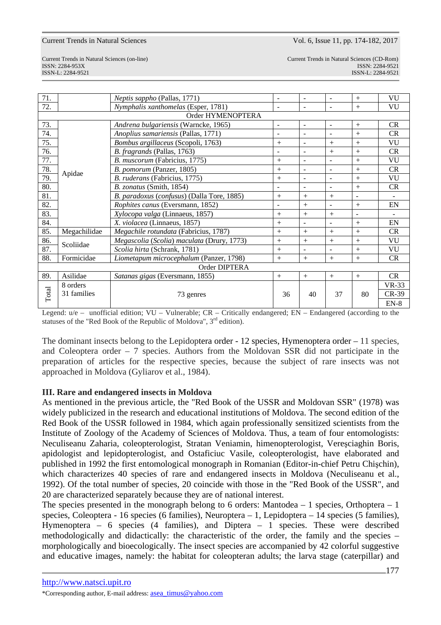Current Trends in Natural Sciences (on-line) Current Trends in Natural Sciences (CD-Rom) ISSN: 2284-953XISSN: 2284-9521 ISSN-L: 2284-9521 ISSN-L: 2284-9521

| 71.           |                                 | Neptis sappho (Pallas, 1771)               | $\blacksquare$           |                          | $\blacksquare$           | $^{+}$                   | VU           |
|---------------|---------------------------------|--------------------------------------------|--------------------------|--------------------------|--------------------------|--------------------------|--------------|
| 72.           |                                 | Nymphalis xanthomelas (Esper, 1781)        | $\overline{\phantom{a}}$ | $\sim$                   | ۰                        | $^{+}$                   | VU           |
|               |                                 | Order HYMENOPTERA                          |                          |                          |                          |                          |              |
| 73.           |                                 | Andrena bulgariensis (Warncke, 1965)       | $\blacksquare$           | $\blacksquare$           | $\blacksquare$           | $+$                      | CR           |
| 74.           |                                 | Anoplius samariensis (Pallas, 1771)        | $\blacksquare$           |                          | ۰                        | $+$                      | <b>CR</b>    |
| 75.           |                                 | Bombus argillaceus (Scopoli, 1763)         | $+$                      | $\blacksquare$           | $+$                      | $+$                      | VU           |
| 76.           |                                 | B. fragrands (Pallas, 1763)                | $\blacksquare$           | $\blacksquare$           | $+$                      | $+$                      | CR           |
| 77.           |                                 | B. muscorum (Fabricius, 1775)              | $+$                      | $\blacksquare$           | $\blacksquare$           | $+$                      | VU           |
| 78.           |                                 | B. pomorum (Panzer, 1805)                  | $+$                      | $\overline{\phantom{a}}$ | $\overline{\phantom{a}}$ | $+$                      | <b>CR</b>    |
| 79.           | Apidae                          | B. ruderans (Fabricius, 1775)              | $+$                      | $\sim$                   | $\sim$                   | $^{+}$                   | VU           |
| 80.           |                                 | B. zonatus (Smith, 1854)                   | $\overline{\phantom{a}}$ | $\blacksquare$           | $\blacksquare$           | $^{+}$                   | CR           |
| 81.           |                                 | B. paradoxus (confusus) (Dalla Tore, 1885) | $+$                      | $+$                      | $+$                      | $\overline{\phantom{a}}$ | $\sim$       |
| 82.           |                                 | Rophites canus (Eversmann, 1852)           | $\blacksquare$           | $+$                      | $\sim$                   | $^{+}$                   | EN           |
| 83.           | Xylocopa valga (Linnaeus, 1857) |                                            | $+$                      | $^{+}$                   | $+$                      | $\overline{\phantom{a}}$ |              |
| 84.           |                                 | X. violacea (Linnaeus, 1857)               |                          |                          | $\blacksquare$           | $+$                      | EN           |
| 85.           | Megachilidae                    | Megachile rotundata (Fabricius, 1787)      | $+$                      | $+$                      | $+$                      | $+$                      | <b>CR</b>    |
| 86.           | Scoliidae                       | Megascolia (Scolia) maculata (Drury, 1773) | $+$                      | $+$                      | $+$                      | $^{+}$                   | VU           |
| 87.           |                                 | Scolia hirta (Schrank, 1781)               | $+$                      |                          | $\overline{\phantom{a}}$ | $^{+}$                   | <b>VU</b>    |
| 88.           | Formicidae                      | Liometapum microcephalum (Panzer, 1798)    | $+$                      | $+$                      | $+$                      | $^{+}$                   | CR           |
| Order DIPTERA |                                 |                                            |                          |                          |                          |                          |              |
| 89.           | Asilidae                        | Satanas gigas (Eversmann, 1855)            | $+$                      | $+$                      | $+$                      | $+$                      | CR           |
|               | 8 orders                        |                                            |                          |                          |                          |                          | <b>VR-33</b> |
| Total         | 31 families                     | 73 genres                                  | 36                       | 40                       | 37                       | 80                       | $CR-39$      |
|               |                                 |                                            |                          |                          |                          |                          | $EN-8$       |

Legend: u/e – unofficial edition; VU – Vulnerable; CR – Critically endangered; EN – Endangered (according to the statuses of the "Red Book of the Republic of Moldova",  $3<sup>rd</sup>$  edition).

The dominant insects belong to the Lepidoptera order  $-12$  species, Hymenoptera order  $-11$  species, and Coleoptera order – 7 species. Authors from the Moldovan SSR did not participate in the preparation of articles for the respective species, because the subject of rare insects was not approached in Moldova (Gyliarov et al., 1984).

#### **III. Rare and endangered insects in Moldova**

As mentioned in the previous article, the "Red Book of the USSR and Moldovan SSR" (1978) was widely publicized in the research and educational institutions of Moldova. The second edition of the Red Book of the USSR followed in 1984, which again professionally sensitized scientists from the Institute of Zoology of the Academy of Sciences of Moldova. Thus, a team of four entomologists: Neculiseanu Zaharia, coleopterologist, Stratan Veniamin, himenopterologist, Vereşciaghin Boris, apidologist and lepidopterologist, and Ostaficiuc Vasile, coleopterologist, have elaborated and published in 1992 the first entomological monograph in Romanian (Editor-in-chief Petru Chişchin), which characterizes 40 species of rare and endangered insects in Moldova (Neculiseanu et al., 1992). Of the total number of species, 20 coincide with those in the "Red Book of the USSR", and 20 are characterized separately because they are of national interest.

The species presented in the monograph belong to 6 orders: Mantodea  $-1$  species, Orthoptera  $-1$ species, Coleoptera - 16 species (6 families), Neuroptera – 1, Lepidoptera – 14 species (5 families), Hymenoptera – 6 species (4 families), and Diptera – 1 species. These were described methodologically and didactically: the characteristic of the order, the family and the species – morphologically and bioecologically. The insect species are accompanied by 42 colorful suggestive and educative images, namely: the habitat for coleopteran adults; the larva stage (caterpillar) and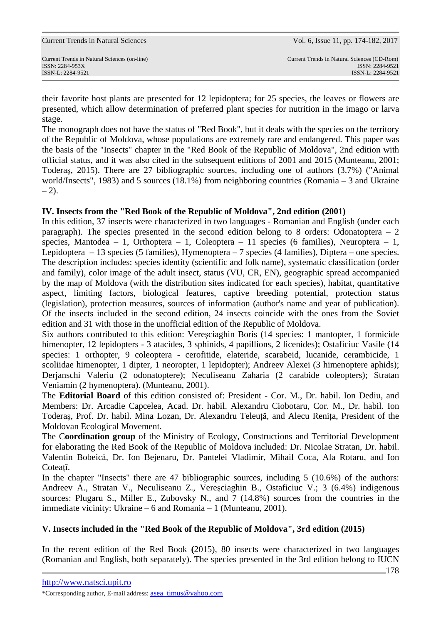their favorite host plants are presented for 12 lepidoptera; for 25 species, the leaves or flowers are presented, which allow determination of preferred plant species for nutrition in the imago or larva stage.

The monograph does not have the status of "Red Book", but it deals with the species on the territory of the Republic of Moldova, whose populations are extremely rare and endangered. This paper was the basis of the "Insects" chapter in the "Red Book of the Republic of Moldova", 2nd edition with official status, and it was also cited in the subsequent editions of 2001 and 2015 (Munteanu, 2001; Toderaş, 2015). There are 27 bibliographic sources, including one of authors (3.7%) ("Animal world/Insects", 1983) and 5 sources (18.1%) from neighboring countries (Romania – 3 and Ukraine  $- 2$ ).

## **IV. Insects from the "Red Book of the Republic of Moldova", 2nd edition (2001)**

In this edition, 37 insects were characterized in two languages - Romanian and English (under each paragraph). The species presented in the second edition belong to 8 orders: Odonatoptera  $-2$ species, Mantodea – 1, Orthoptera – 1, Coleoptera – 11 species (6 families), Neuroptera – 1, Lepidoptera – 13 species (5 families), Hymenoptera – 7 species (4 families), Diptera – one species. The description includes: species identity (scientific and folk name), systematic classification (order and family), color image of the adult insect, status (VU, CR, EN), geographic spread accompanied by the map of Moldova (with the distribution sites indicated for each species), habitat, quantitative aspect, limiting factors, biological features, captive breeding potential, protection status (legislation), protection measures, sources of information (author's name and year of publication). Of the insects included in the second edition, 24 insects coincide with the ones from the Soviet edition and 31 with those in the unofficial edition of the Republic of Moldova.

Six authors contributed to this edition: Vereşciaghin Boris (14 species: 1 mantopter, 1 formicide himenopter, 12 lepidopters - 3 atacides, 3 sphinids, 4 papillions, 2 licenides); Ostaficiuc Vasile (14 species: 1 orthopter, 9 coleoptera - cerofitide, elateride, scarabeid, lucanide, cerambicide, 1 scoliidae himenopter, 1 dipter, 1 neoropter, 1 lepidopter); Andreev Alexei (3 himenoptere aphids); Derjanschi Valeriu (2 odonatoptere); Neculiseanu Zaharia (2 carabide coleopters); Stratan Veniamin (2 hymenoptera). (Munteanu, 2001).

The **Editorial Board** of this edition consisted of: President - Cor. M., Dr. habil. Ion Dediu, and Members: Dr. Arcadie Capcelea, Acad. Dr. habil. Alexandru Ciobotaru, Cor. M., Dr. habil. Ion Toderaş, Prof. Dr. habil. Mina Lozan, Dr. Alexandru Teleuţă, and Alecu Reniţa, President of the Moldovan Ecological Movement.

The C**oordination group** of the Ministry of Ecology, Constructions and Territorial Development for elaborating the Red Book of the Republic of Moldova included: Dr. Nicolae Stratan, Dr. habil. Valentin Bobeică, Dr. Ion Bejenaru, Dr. Pantelei Vladimir, Mihail Coca, Ala Rotaru, and Ion Coteatî.

In the chapter "Insects" there are 47 bibliographic sources, including 5 (10.6%) of the authors: Andreev A., Stratan V., Neculiseanu Z., Vereşciaghin B., Ostaficiuc V.; 3 (6.4%) indigenous sources: Plugaru S., Miller E., Zubovsky N., and 7 (14.8%) sources from the countries in the immediate vicinity: Ukraine – 6 and Romania – 1 (Munteanu, 2001).

## **V. Insects included in the "Red Book of the Republic of Moldova", 3rd edition (2015)**

In the recent edition of the Red Book **(**2015), 80 insects were characterized in two languages (Romanian and English, both separately). The species presented in the 3rd edition belong to IUCN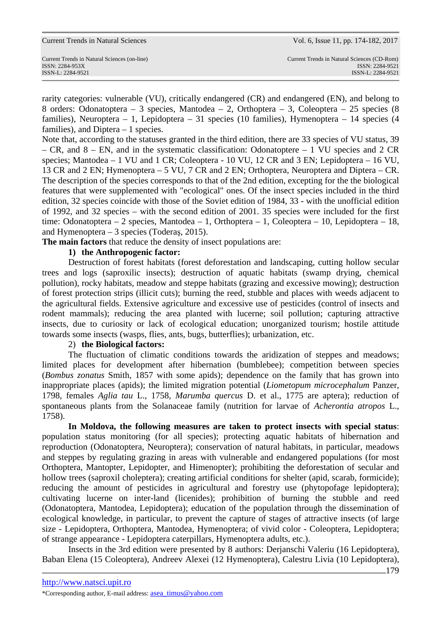rarity categories: vulnerable (VU), critically endangered (CR) and endangered (EN), and belong to 8 orders: Odonatoptera – 3 species, Mantodea – 2, Orthoptera – 3, Coleoptera – 25 species (8 families), Neuroptera – 1, Lepidoptera – 31 species (10 families), Hymenoptera – 14 species (4 families), and Diptera – 1 species.

Note that, according to the statuses granted in the third edition, there are 33 species of VU status, 39 – CR, and 8 – EN, and in the systematic classification: Odonatoptere – 1 VU species and 2 CR species; Mantodea – 1 VU and 1 CR; Coleoptera - 10 VU, 12 CR and 3 EN; Lepidoptera – 16 VU, 13 CR and 2 EN; Hymenoptera – 5 VU, 7 CR and 2 EN; Orthoptera, Neuroptera and Diptera – CR. The description of the species corresponds to that of the 2nd edition, excepting for the the biological features that were supplemented with "ecological" ones. Of the insect species included in the third edition, 32 species coincide with those of the Soviet edition of 1984, 33 - with the unofficial edition of 1992, and 32 species – with the second edition of 2001. 35 species were included for the first time: Odonatoptera – 2 species, Mantodea – 1, Orthoptera – 1, Coleoptera – 10, Lepidoptera – 18, and Hymenoptera – 3 species (Toderaş, 2015).

**The main factors** that reduce the density of insect populations are:

### **1) the Anthropogenic factor:**

Destruction of forest habitats (forest deforestation and landscaping, cutting hollow secular trees and logs (saproxilic insects); destruction of aquatic habitats (swamp drying, chemical pollution), rocky habitats, meadow and steppe habitats (grazing and excessive mowing); destruction of forest protection strips (illicit cuts); burning the reed, stubble and places with weeds adjacent to the agricultural fields. Extensive agriculture and excessive use of pesticides (control of insects and rodent mammals); reducing the area planted with lucerne; soil pollution; capturing attractive insects, due to curiosity or lack of ecological education; unorganized tourism; hostile attitude towards some insects (wasps, flies, ants, bugs, butterflies); urbanization, etc.

#### 2) **the Biological factors:**

The fluctuation of climatic conditions towards the aridization of steppes and meadows; limited places for development after hibernation (bumblebee); competition between species (*Bombus zonatus* Smith, 1857 with some apids); dependence on the family that has grown into inappropriate places (apids); the limited migration potential (*Liometopum microcephalum* Panzer, 1798, females *Aglia tau* L., 1758, *Marumba quercus* D. et al., 1775 are aptera); reduction of spontaneous plants from the Solanaceae family (nutrition for larvae of *Acherontia atropos* L., 1758).

**In Moldova, the following measures are taken to protect insects with special status**: population status monitoring (for all species); protecting aquatic habitats of hibernation and reproduction (Odonatoptera, Neuroptera); conservation of natural habitats, in particular, meadows and steppes by regulating grazing in areas with vulnerable and endangered populations (for most Orthoptera, Mantopter, Lepidopter, and Himenopter); prohibiting the deforestation of secular and hollow trees (saproxil choleptera); creating artificial conditions for shelter (apid, scarab, formicide); reducing the amount of pesticides in agricultural and forestry use (phytopofage lepidoptera); cultivating lucerne on inter-land (licenides); prohibition of burning the stubble and reed (Odonatoptera, Mantodea, Lepidoptera); education of the population through the dissemination of ecological knowledge, in particular, to prevent the capture of stages of attractive insects (of large size - Lepidoptera, Orthoptera, Mantodea, Hymenoptera; of vivid color - Coleoptera, Lepidoptera; of strange appearance - Lepidoptera caterpillars, Hymenoptera adults, etc.).

Insects in the 3rd edition were presented by 8 authors: Derjanschi Valeriu (16 Lepidoptera), Baban Elena (15 Coleoptera), Andreev Alexei (12 Hymenoptera), Calestru Livia (10 Lepidoptera),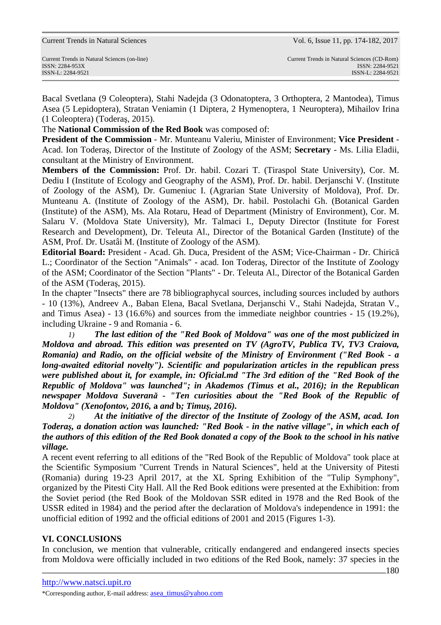|  |  |  |  | <b>Current Trends in Natural Sciences</b> |
|--|--|--|--|-------------------------------------------|
|--|--|--|--|-------------------------------------------|

ISSN-L: 2284-9521 ISSN-L: 2284-9521

Bacal Svetlana (9 Coleoptera), Stahi Nadejda (3 Odonatoptera, 3 Orthoptera, 2 Mantodea), Timus Asea (5 Lepidoptera), Stratan Veniamin (1 Diptera, 2 Hymenoptera, 1 Neuroptera), Mihailov Irina (1 Coleoptera) (Toderaş, 2015).

The **National Commission of the Red Book** was composed of:

**President of the Commission** - Mr. Munteanu Valeriu, Minister of Environment; **Vice President** - Acad. Ion Toderaş, Director of the Institute of Zoology of the ASM; **Secretary** - Ms. Lilia Eladii, consultant at the Ministry of Environment.

**Members of the Commission:** Prof. Dr. habil. Cozari T. (Tiraspol State University), Cor. M. Dediu I (Institute of Ecology and Geography of the ASM), Prof. Dr. habil. Derjanschi V. (Institute of Zoology of the ASM), Dr. Gumeniuc I. (Agrarian State University of Moldova), Prof. Dr. Munteanu A. (Institute of Zoology of the ASM), Dr. habil. Postolachi Gh. (Botanical Garden (Institute) of the ASM), Ms. Ala Rotaru, Head of Department (Ministry of Environment), Cor. M. Salaru V. (Moldova State University), Mr. Talmaci I., Deputy Director (Institute for Forest Research and Development), Dr. Teleuta Al., Director of the Botanical Garden (Institute) of the ASM, Prof. Dr. Usatâi M. (Institute of Zoology of the ASM).

**Editorial Board:** President - Acad. Gh. Duca, President of the ASM; Vice-Chairman - Dr. Chirică L.; Coordinator of the Section "Animals" - acad. Ion Toderaş, Director of the Institute of Zoology of the ASM; Coordinator of the Section "Plants" - Dr. Teleuta Al., Director of the Botanical Garden of the ASM (Toderaş, 2015).

In the chapter "Insects" there are 78 bibliographycal sources, including sources included by authors - 10 (13%), Andreev A., Baban Elena, Bacal Svetlana, Derjanschi V., Stahi Nadejda, Stratan V., and Timus Asea) - 13 (16.6%) and sources from the immediate neighbor countries - 15 (19.2%), including Ukraine - 9 and Romania - 6.

*1) The last edition of the "Red Book of Moldova" was one of the most publicized in Moldova and abroad. This edition was presented on TV (AgroTV, Publica TV, TV3 Craiova, Romania) and Radio, on the official website of the Ministry of Environment ("Red Book - a long-awaited editorial novelty"). Scientific and popularization articles in the republican press were published about it, for example, in: Oficial.md "The 3rd edition of the "Red Book of the Republic of Moldova" was launched"; in Akademos (Timus et al., 2016); in the Republican newspaper Moldova Suverană - "Ten curiosities about the "Red Book of the Republic of Moldova" (Xenofontov, 2016,* **a** *and* **b***; Timuş, 2016).* 

*2) At the initiative of the director of the Institute of Zoology of the ASM, acad. Ion Toderaş, a donation action was launched: "Red Book - in the native village", in which each of the authors of this edition of the Red Book donated a copy of the Book to the school in his native village.* 

A recent event referring to all editions of the "Red Book of the Republic of Moldova" took place at the Scientific Symposium "Current Trends in Natural Sciences", held at the University of Pitesti (Romania) during 19-23 April 2017, at the XL Spring Exhibition of the "Tulip Symphony", organized by the Pitesti City Hall. All the Red Book editions were presented at the Exhibition: from the Soviet period (the Red Book of the Moldovan SSR edited in 1978 and the Red Book of the USSR edited in 1984) and the period after the declaration of Moldova's independence in 1991: the unofficial edition of 1992 and the official editions of 2001 and 2015 (Figures 1-3).

## **VI. CONCLUSIONS**

In conclusion, we mention that vulnerable, critically endangered and endangered insects species from Moldova were officially included in two editions of the Red Book, namely: 37 species in the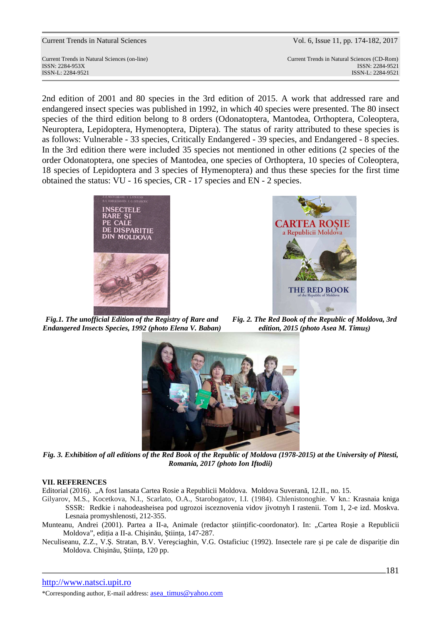Current Trends in Natural Sciences (on-line) Current Trends in Natural Sciences (CD-Rom) ISSN: 2284-953XISSN: 2284-9521 ISSN-L: 2284-9521 ISSN-L: 2284-9521

2nd edition of 2001 and 80 species in the 3rd edition of 2015. A work that addressed rare and endangered insect species was published in 1992, in which 40 species were presented. The 80 insect species of the third edition belong to 8 orders (Odonatoptera, Mantodea, Orthoptera, Coleoptera, Neuroptera, Lepidoptera, Hymenoptera, Diptera). The status of rarity attributed to these species is as follows: Vulnerable - 33 species, Critically Endangered - 39 species, and Endangered - 8 species. In the 3rd edition there were included 35 species not mentioned in other editions (2 species of the order Odonatoptera, one species of Mantodea, one species of Orthoptera, 10 species of Coleoptera, 18 species of Lepidoptera and 3 species of Hymenoptera) and thus these species for the first time obtained the status: VU - 16 species, CR - 17 species and EN - 2 species.





*Fig.1. The unofficial Edition of the Registry of Rare and Endangered Insects Species, 1992 (photo Elena V. Baban)* 

*Fig. 2. The Red Book of the Republic of Moldova, 3rd edition, 2015 (photo Asea M. Timuş)* 



*Fig. 3. Exhibition of all editions of the Red Book of the Republic of Moldova (1978-2015) at the University of Pitesti, Romania, 2017 (photo Ion Iftodii)* 

#### **VII. REFERENCES**

Editorial (2016). "A fost lansata Cartea Rosie a Republicii Moldova. Moldova Suverană, 12.II., no. 15.

Gilyarov, M.S., Kocetkova, N.I., Scarlato, O.A., Starobogatov, I.I. (1984). Chlenistonoghie. V kn.: Krasnaia kniga SSSR: Redkie i nahodeasheisea pod ugrozoi isceznovenia vidov jivotnyh I rastenii. Tom 1, 2-e izd. Moskva. Lesnaia promyshlenosti, 212-355.

Munteanu, Andrei (2001). Partea a II-a, Animale (redactor stiintific-coordonator). In: "Cartea Rosie a Republicii Moldova", ediţia a II-a. Chişinău, Ştiinţa, 147-287.

Neculiseanu, Z.Z., V.Ş. Stratan, B.V. Vereşciaghin, V.G. Ostaficiuc (1992). Insectele rare şi pe cale de dispariţie din Moldova. Chişinău, Ştiinţa, 120 pp.

\*Corresponding author, E-mail address: asea\_timus@yahoo.com